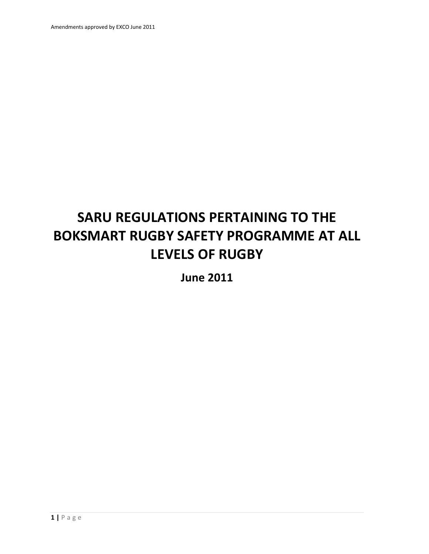## **SARU REGULATIONS PERTAINING TO THE BOKSMART RUGBY SAFETY PROGRAMME AT ALL LEVELS OF RUGBY**

**June 2011**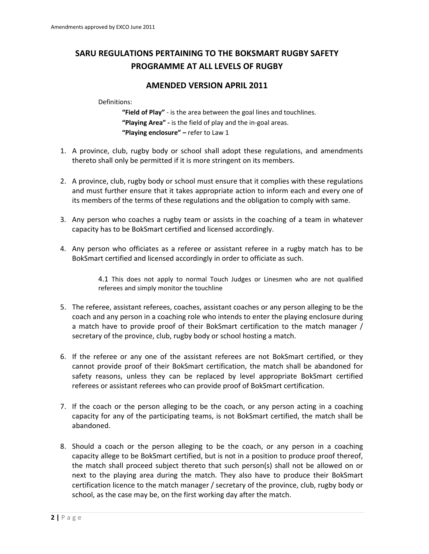## **SARU REGULATIONS PERTAINING TO THE BOKSMART RUGBY SAFETY PROGRAMME AT ALL LEVELS OF RUGBY**

## **AMENDED VERSION APRIL 2011**

Definitions:

**"Field of Play"** ‐ is the area between the goal lines and touchlines. **"Playing Area" ‐** is the field of play and the in‐goal areas. **"Playing enclosure" –** refer to Law 1

- 1. A province, club, rugby body or school shall adopt these regulations, and amendments thereto shall only be permitted if it is more stringent on its members.
- 2. A province, club, rugby body or school must ensure that it complies with these regulations and must further ensure that it takes appropriate action to inform each and every one of its members of the terms of these regulations and the obligation to comply with same.
- 3. Any person who coaches a rugby team or assists in the coaching of a team in whatever capacity has to be BokSmart certified and licensed accordingly.
- 4. Any person who officiates as a referee or assistant referee in a rugby match has to be BokSmart certified and licensed accordingly in order to officiate as such.

4.1 This does not apply to normal Touch Judges or Linesmen who are not qualified referees and simply monitor the touchline

- 5. The referee, assistant referees, coaches, assistant coaches or any person alleging to be the coach and any person in a coaching role who intends to enter the playing enclosure during a match have to provide proof of their BokSmart certification to the match manager / secretary of the province, club, rugby body or school hosting a match.
- 6. If the referee or any one of the assistant referees are not BokSmart certified, or they cannot provide proof of their BokSmart certification, the match shall be abandoned for safety reasons, unless they can be replaced by level appropriate BokSmart certified referees or assistant referees who can provide proof of BokSmart certification.
- 7. If the coach or the person alleging to be the coach, or any person acting in a coaching capacity for any of the participating teams, is not BokSmart certified, the match shall be abandoned.
- 8. Should a coach or the person alleging to be the coach, or any person in a coaching capacity allege to be BokSmart certified, but is not in a position to produce proof thereof, the match shall proceed subject thereto that such person(s) shall not be allowed on or next to the playing area during the match. They also have to produce their BokSmart certification licence to the match manager / secretary of the province, club, rugby body or school, as the case may be, on the first working day after the match.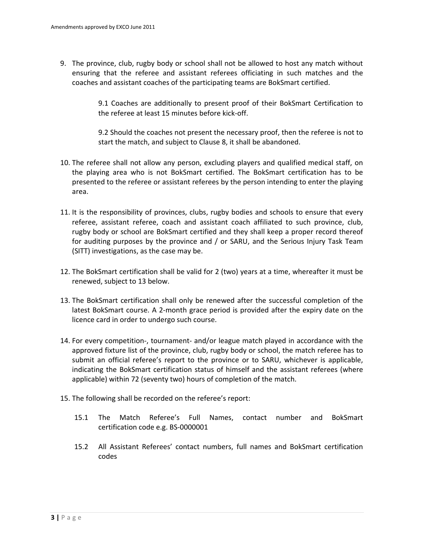9. The province, club, rugby body or school shall not be allowed to host any match without ensuring that the referee and assistant referees officiating in such matches and the coaches and assistant coaches of the participating teams are BokSmart certified.

> 9.1 Coaches are additionally to present proof of their BokSmart Certification to the referee at least 15 minutes before kick‐off.

> 9.2 Should the coaches not present the necessary proof, then the referee is not to start the match, and subject to Clause 8, it shall be abandoned.

- 10. The referee shall not allow any person, excluding players and qualified medical staff, on the playing area who is not BokSmart certified. The BokSmart certification has to be presented to the referee or assistant referees by the person intending to enter the playing area.
- 11. It is the responsibility of provinces, clubs, rugby bodies and schools to ensure that every referee, assistant referee, coach and assistant coach affiliated to such province, club, rugby body or school are BokSmart certified and they shall keep a proper record thereof for auditing purposes by the province and / or SARU, and the Serious Injury Task Team (SITT) investigations, as the case may be.
- 12. The BokSmart certification shall be valid for 2 (two) years at a time, whereafter it must be renewed, subject to 13 below.
- 13. The BokSmart certification shall only be renewed after the successful completion of the latest BokSmart course. A 2‐month grace period is provided after the expiry date on the licence card in order to undergo such course.
- 14. For every competition‐, tournament‐ and/or league match played in accordance with the approved fixture list of the province, club, rugby body or school, the match referee has to submit an official referee's report to the province or to SARU, whichever is applicable, indicating the BokSmart certification status of himself and the assistant referees (where applicable) within 72 (seventy two) hours of completion of the match.
- 15. The following shall be recorded on the referee's report:
	- 15.1 The Match Referee's Full Names, contact number and BokSmart certification code e.g. BS‐0000001
	- 15.2 All Assistant Referees' contact numbers, full names and BokSmart certification codes